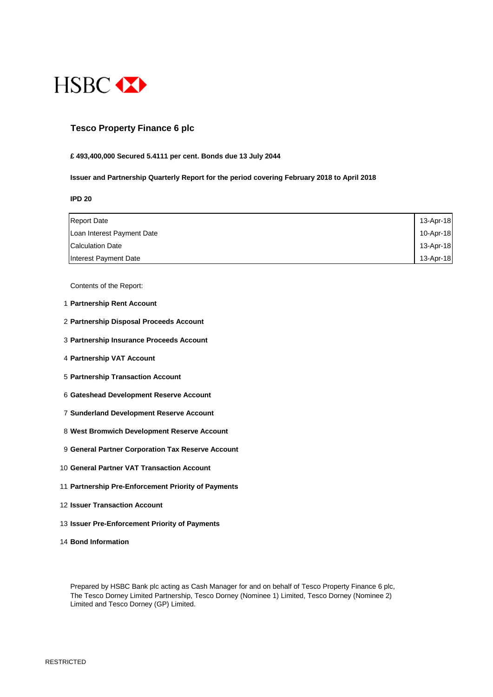

# **Tesco Property Finance 6 plc**

#### **£ 493,400,000 Secured 5.4111 per cent. Bonds due 13 July 2044**

#### **Issuer and Partnership Quarterly Report for the period covering February 2018 to April 2018**

**IPD 20**

| <b>Report Date</b>         | 13-Apr-18 |
|----------------------------|-----------|
| Loan Interest Payment Date | 10-Apr-18 |
| <b>Calculation Date</b>    | 13-Apr-18 |
| Interest Payment Date      | 13-Apr-18 |

Contents of the Report:

- 1 **Partnership Rent Account**
- 2 **Partnership Disposal Proceeds Account**
- 3 **Partnership Insurance Proceeds Account**
- 4 **Partnership VAT Account**
- 5 **Partnership Transaction Account**
- 6 **Gateshead Development Reserve Account**
- 7 **Sunderland Development Reserve Account**
- 8 **West Bromwich Development Reserve Account**
- 9 **General Partner Corporation Tax Reserve Account**
- 10 **General Partner VAT Transaction Account**
- 11 **Partnership Pre-Enforcement Priority of Payments**
- 12 **Issuer Transaction Account**
- 13 **Issuer Pre-Enforcement Priority of Payments**
- 14 **Bond Information**

Prepared by HSBC Bank plc acting as Cash Manager for and on behalf of Tesco Property Finance 6 plc, The Tesco Dorney Limited Partnership, Tesco Dorney (Nominee 1) Limited, Tesco Dorney (Nominee 2) Limited and Tesco Dorney (GP) Limited.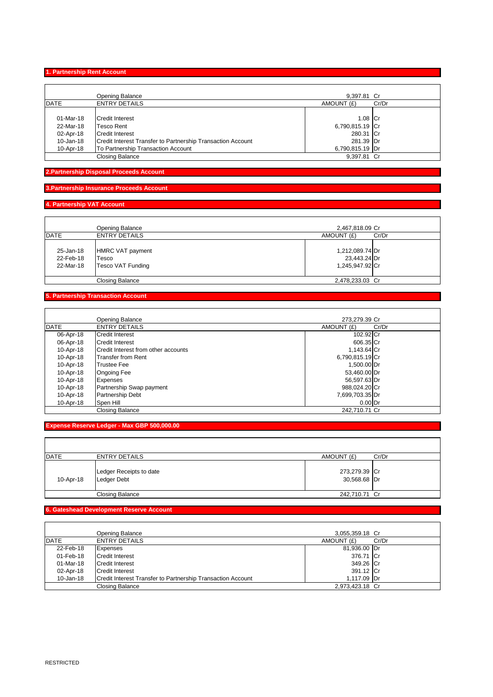Ť

#### **1. Partnership Rent Account**

|           | Opening Balance                                             | 9.397.81 Cr     |       |
|-----------|-------------------------------------------------------------|-----------------|-------|
| DATE      | <b>ENTRY DETAILS</b>                                        | AMOUNT (£)      | Cr/Dr |
|           |                                                             |                 |       |
| 01-Mar-18 | Credit Interest                                             | 1.08 Cr         |       |
| 22-Mar-18 | <b>Tesco Rent</b>                                           | 6,790,815.19 Cr |       |
| 02-Apr-18 | <b>Credit Interest</b>                                      | 280.31 Cr       |       |
| 10-Jan-18 | Credit Interest Transfer to Partnership Transaction Account | 281.39 Dr       |       |
| 10-Apr-18 | To Partnership Transaction Account                          | 6,790,815.19 Dr |       |
|           | <b>Closing Balance</b>                                      | 9.397.81 Cr     |       |

**2.Partnership Disposal Proceeds Account**

#### **3.Partnership Insurance Proceeds Account**

# **4. Partnership VAT Account**

|                                     | Opening Balance                                       | 2,467,818.09 Cr                                    |
|-------------------------------------|-------------------------------------------------------|----------------------------------------------------|
| DATE                                | <b>ENTRY DETAILS</b>                                  | AMOUNT (£)<br>Cr/Dr                                |
| 25-Jan-18<br>22-Feb-18<br>22-Mar-18 | <b>HMRC VAT payment</b><br>Tesco<br>Tesco VAT Funding | 1,212,089.74 Dr<br>23,443.24 Dr<br>1.245.947.92 Cr |
|                                     | <b>Closing Balance</b>                                | 2,478,233.03 Cr                                    |

# **5. Partnership Transaction Account**

|             | Opening Balance                     | 273,279.39 Cr   |       |
|-------------|-------------------------------------|-----------------|-------|
| <b>DATE</b> | <b>ENTRY DETAILS</b>                | AMOUNT (£)      | Cr/Dr |
| 06-Apr-18   | <b>Credit Interest</b>              | 102.92 Cr       |       |
| 06-Apr-18   | Credit Interest                     | 606.35 Cr       |       |
| 10-Apr-18   | Credit Interest from other accounts | 1,143.64 Cr     |       |
| 10-Apr-18   | <b>Transfer from Rent</b>           | 6,790,815.19 Cr |       |
| 10-Apr-18   | <b>Trustee Fee</b>                  | 1,500.00 Dr     |       |
| 10-Apr-18   | <b>Ongoing Fee</b>                  | 53,460.00 Dr    |       |
| 10-Apr-18   | <b>Expenses</b>                     | 56,597.63 Dr    |       |
| 10-Apr-18   | Partnership Swap payment            | 988,024.20 Cr   |       |
| 10-Apr-18   | <b>Partnership Debt</b>             | 7,699,703.35 Dr |       |
| 10-Apr-18   | Spen Hill                           | $0.00$ Dr       |       |
|             | <b>Closing Balance</b>              | 242.710.71 Cr   |       |

**Expense Reserve Ledger - Max GBP 500,000.00**

| <b>DATE</b> | <b>ENTRY DETAILS</b>                   | AMOUNT (£)                    | Cr/Dr |
|-------------|----------------------------------------|-------------------------------|-------|
| 10-Apr-18   | Ledger Receipts to date<br>Ledger Debt | 273,279.39 Cr<br>30,568.68 Dr |       |
|             | Closing Balance                        | 242,710.71 Cr                 |       |

# **6. Gateshead Development Reserve Account**

|             | Opening Balance                                             | 3,055,359.18 Cr |       |
|-------------|-------------------------------------------------------------|-----------------|-------|
| <b>DATE</b> | <b>ENTRY DETAILS</b>                                        | AMOUNT (£)      | Cr/Dr |
| 22-Feb-18   | Expenses                                                    | 81,936.00 Dr    |       |
| 01-Feb-18   | Credit Interest                                             | 376.71 Cr       |       |
| 01-Mar-18   | <b>Credit Interest</b>                                      | 349.26 Cr       |       |
| 02-Apr-18   | Credit Interest                                             | 391.12 Cr       |       |
| 10-Jan-18   | Credit Interest Transfer to Partnership Transaction Account | 1.117.09 Dr     |       |
|             | Closing Balance                                             | 2.973.423.18 Cr |       |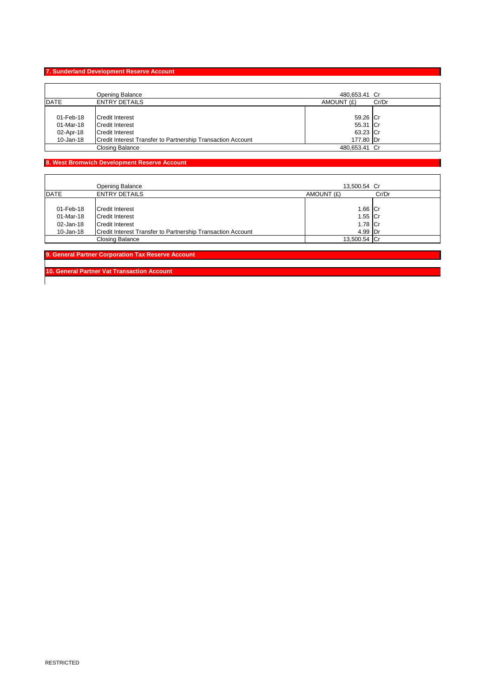#### **7. Sunderland Development Reserve Account**

|             | Opening Balance                                             | 480.653.41 Cr |       |
|-------------|-------------------------------------------------------------|---------------|-------|
| <b>DATE</b> | <b>ENTRY DETAILS</b>                                        | AMOUNT (£)    | Cr/Dr |
|             |                                                             |               |       |
| 01-Feb-18   | <b>Credit Interest</b>                                      | 59.26 Cr      |       |
| 01-Mar-18   | <b>Credit Interest</b>                                      | 55.31 Cr      |       |
| 02-Apr-18   | <b>Credit Interest</b>                                      | 63.23 Cr      |       |
| 10-Jan-18   | Credit Interest Transfer to Partnership Transaction Account | 177.80 Dr     |       |
|             | <b>Closing Balance</b>                                      | 480,653.41 Cr |       |

# **8. West Bromwich Development Reserve Account**

 $\mathbf{r}$ 

|             | Opening Balance                                             | 13,500.54 Cr |       |
|-------------|-------------------------------------------------------------|--------------|-------|
| <b>DATE</b> | <b>ENTRY DETAILS</b>                                        | AMOUNT (£)   | Cr/Dr |
|             |                                                             |              |       |
| 01-Feb-18   | Credit Interest                                             | 1.66 Cr      |       |
| 01-Mar-18   | Credit Interest                                             | 1.55 Cr      |       |
| 02-Jan-18   | Credit Interest                                             | 1.78 Cr      |       |
| 10-Jan-18   | Credit Interest Transfer to Partnership Transaction Account | 4.99 Dr      |       |
|             | Closing Balance                                             | 13,500.54 Cr |       |

**9. General Partner Corporation Tax Reserve Account** 

**10. General Partner Vat Transaction Account**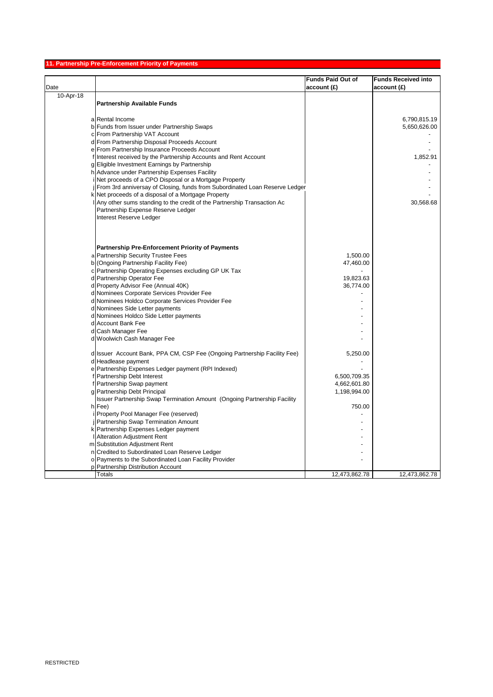# **11. Partnership Pre-Enforcement Priority of Payments**

|           |                                                                             | <b>Funds Paid Out of</b> | <b>Funds Received into</b> |
|-----------|-----------------------------------------------------------------------------|--------------------------|----------------------------|
| Date      |                                                                             | account(E)               | account(E)                 |
| 10-Apr-18 |                                                                             |                          |                            |
|           | <b>Partnership Available Funds</b>                                          |                          |                            |
|           |                                                                             |                          |                            |
|           | a Rental Income                                                             |                          | 6,790,815.19               |
|           | b Funds from Issuer under Partnership Swaps                                 |                          | 5,650,626.00               |
|           | c From Partnership VAT Account                                              |                          |                            |
|           | d From Partnership Disposal Proceeds Account                                |                          |                            |
|           | e From Partnership Insurance Proceeds Account                               |                          |                            |
|           | f Interest received by the Partnership Accounts and Rent Account            |                          | 1,852.91                   |
|           | g Eligible Investment Earnings by Partnership                               |                          |                            |
|           | h Advance under Partnership Expenses Facility                               |                          |                            |
|           | i Net proceeds of a CPO Disposal or a Mortgage Property                     |                          |                            |
|           | From 3rd anniversay of Closing, funds from Subordinated Loan Reserve Ledger |                          |                            |
|           | k Net proceeds of a disposal of a Mortgage Property                         |                          |                            |
|           | Any other sums standing to the credit of the Partnership Transaction Ac     |                          | 30,568.68                  |
|           | Partnership Expense Reserve Ledger                                          |                          |                            |
|           | Interest Reserve Ledger                                                     |                          |                            |
|           |                                                                             |                          |                            |
|           |                                                                             |                          |                            |
|           |                                                                             |                          |                            |
|           | <b>Partnership Pre-Enforcement Priority of Payments</b>                     |                          |                            |
|           | a Partnership Security Trustee Fees                                         | 1,500.00                 |                            |
|           | b (Ongoing Partnership Facility Fee)                                        | 47,460.00                |                            |
|           | c Partnership Operating Expenses excluding GP UK Tax                        |                          |                            |
|           | d Partnership Operator Fee                                                  | 19,823.63                |                            |
|           | d Property Advisor Fee (Annual 40K)                                         | 36,774.00                |                            |
|           | d Nominees Corporate Services Provider Fee                                  |                          |                            |
|           | d Nominees Holdco Corporate Services Provider Fee                           |                          |                            |
|           | d Nominees Side Letter payments                                             |                          |                            |
|           | d Nominees Holdco Side Letter payments                                      |                          |                            |
|           | d Account Bank Fee                                                          |                          |                            |
|           | d Cash Manager Fee                                                          |                          |                            |
|           | d Woolwich Cash Manager Fee                                                 |                          |                            |
|           |                                                                             |                          |                            |
|           | d Issuer Account Bank, PPA CM, CSP Fee (Ongoing Partnership Facility Fee)   | 5,250.00                 |                            |
|           | d Headlease payment                                                         |                          |                            |
|           | e Partnership Expenses Ledger payment (RPI Indexed)                         |                          |                            |
|           | f Partnership Debt Interest                                                 | 6,500,709.35             |                            |
|           | f Partnership Swap payment                                                  | 4,662,601.80             |                            |
|           | g Partnership Debt Principal                                                | 1,198,994.00             |                            |
|           | Issuer Partnership Swap Termination Amount (Ongoing Partnership Facility    | 750.00                   |                            |
|           | h Fee)                                                                      |                          |                            |
|           | Property Pool Manager Fee (reserved)<br>Partnership Swap Termination Amount |                          |                            |
|           |                                                                             |                          |                            |
|           | k Partnership Expenses Ledger payment<br><b>Alteration Adjustment Rent</b>  |                          |                            |
|           | m Substitution Adjustment Rent                                              |                          |                            |
|           | n Credited to Subordinated Loan Reserve Ledger                              |                          |                            |
|           | o Payments to the Subordinated Loan Facility Provider                       |                          |                            |
|           | p Partnership Distribution Account                                          |                          |                            |
|           | Totals                                                                      | 12,473,862.78            | 12,473,862.78              |
|           |                                                                             |                          |                            |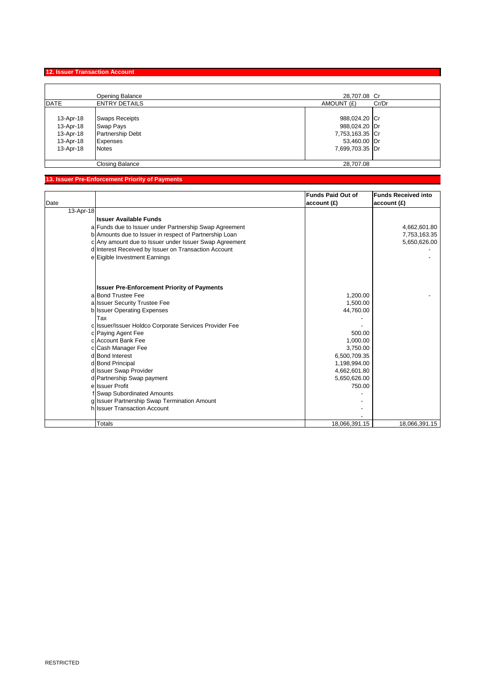# **12. Issuer Transaction Account**

|             | Opening Balance        | 28,707.08 Cr    |       |
|-------------|------------------------|-----------------|-------|
| <b>DATE</b> | <b>ENTRY DETAILS</b>   | AMOUNT (£)      | Cr/Dr |
|             |                        |                 |       |
| 13-Apr-18   | <b>Swaps Receipts</b>  | 988,024.20 Cr   |       |
| 13-Apr-18   | Swap Pays              | 988,024.20 Dr   |       |
| 13-Apr-18   | Partnership Debt       | 7,753,163.35 Cr |       |
| 13-Apr-18   | <b>Expenses</b>        | 53,460.00 Dr    |       |
| 13-Apr-18   | <b>Notes</b>           | 7,699,703.35 Dr |       |
|             |                        |                 |       |
|             | <b>Closing Balance</b> | 28.707.08       |       |

# **13. Issuer Pre-Enforcement Priority of Payments**

| Date      |                                                        | <b>Funds Paid Out of</b><br>account(E) | <b>Funds Received into</b><br>account(E) |
|-----------|--------------------------------------------------------|----------------------------------------|------------------------------------------|
| 13-Apr-18 |                                                        |                                        |                                          |
|           | <b>Issuer Available Funds</b>                          |                                        |                                          |
|           | a Funds due to Issuer under Partnership Swap Agreement |                                        | 4,662,601.80                             |
|           | b Amounts due to Issuer in respect of Partnership Loan |                                        | 7,753,163.35                             |
|           | c Any amount due to Issuer under Issuer Swap Agreement |                                        | 5,650,626.00                             |
|           | d Interest Received by Issuer on Transaction Account   |                                        |                                          |
|           | e Eigible Investment Earnings                          |                                        |                                          |
|           | <b>Issuer Pre-Enforcement Priority of Payments</b>     |                                        |                                          |
|           | a Bond Trustee Fee                                     | 1,200.00                               |                                          |
|           | a Issuer Security Trustee Fee                          | 1,500.00                               |                                          |
|           | b Issuer Operating Expenses                            | 44,760.00                              |                                          |
|           | Tax                                                    |                                        |                                          |
|           | c Issuer/Issuer Holdco Corporate Services Provider Fee |                                        |                                          |
|           | c Paying Agent Fee                                     | 500.00                                 |                                          |
|           | c Account Bank Fee                                     | 1.000.00                               |                                          |
|           | c Cash Manager Fee                                     | 3,750.00                               |                                          |
|           | d Bond Interest                                        | 6,500,709.35                           |                                          |
|           | d Bond Principal                                       | 1,198,994.00                           |                                          |
|           | d Issuer Swap Provider                                 | 4,662,601.80                           |                                          |
|           | d Partnership Swap payment                             | 5,650,626.00                           |                                          |
|           | e Issuer Profit                                        | 750.00                                 |                                          |
|           | f Swap Subordinated Amounts                            |                                        |                                          |
|           | g Issuer Partnership Swap Termination Amount           |                                        |                                          |
|           | hussuer Transaction Account                            |                                        |                                          |
|           |                                                        |                                        |                                          |
|           | <b>Totals</b>                                          | 18,066,391.15                          | 18.066.391.15                            |